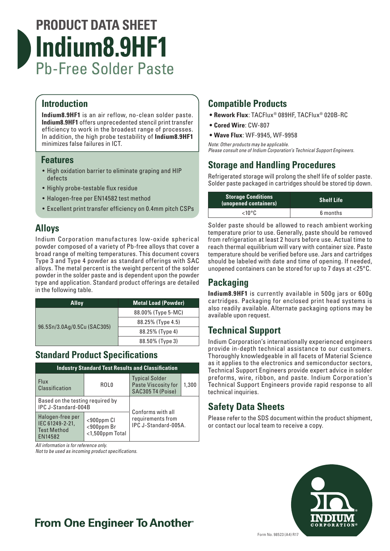

### **Introduction**

**Indium8.9HF1** is an air reflow, no-clean solder paste. **Indium8.9HF1** offers unprecedented stencil print transfer efficiency to work in the broadest range of processes. In addition, the high probe testability of **Indium8.9HF1** minimizes false failures in ICT.

### **Features**

- High oxidation barrier to eliminate graping and HIP defects
- Highly probe-testable flux residue
- Halogen-free per EN14582 test method
- Excellent print transfer efficiency on 0.4mm pitch CSPs

### **Alloys**

Indium Corporation manufactures low-oxide spherical powder composed of a variety of Pb-free alloys that cover a broad range of melting temperatures. This document covers Type 3 and Type 4 powder as standard offerings with SAC alloys. The metal percent is the weight percent of the solder powder in the solder paste and is dependent upon the powder type and application. Standard product offerings are detailed in the following table.

| <b>Alloy</b>                | <b>Metal Load (Powder)</b> |
|-----------------------------|----------------------------|
| 96.5Sn/3.0Ag/0.5Cu (SAC305) | 88.00% (Type 5-MC)         |
|                             | 88.25% (Type 4.5)          |
|                             | 88.25% (Type 4)            |
|                             | 88.50% (Type 3)            |

### **Standard Product Specifications**

| <b>Industry Standard Test Results and Classification</b>             |                                                   |                                                                   |       |  |
|----------------------------------------------------------------------|---------------------------------------------------|-------------------------------------------------------------------|-------|--|
| <b>Flux</b><br><b>Classification</b>                                 | ROL <sub>0</sub>                                  | <b>Typical Solder</b><br>Paste Viscosity for<br>SAC305 T4 (Poise) | 1,300 |  |
| Based on the testing required by<br>IPC J-Standard-004B              |                                                   |                                                                   |       |  |
| Halogen-free per<br>IEC 61249-2-21,<br><b>Test Method</b><br>EN14582 | $<$ 900ppm Cl<br><900ppm Br<br>$<$ 1,500ppm Total | Conforms with all<br>requirements from<br>IPC J-Standard-005A.    |       |  |

*All information is for reference only.*

*Not to be used as incoming product specifications.*

### **Compatible Products**

- **• Rework Flux**: TACFlux® 089HF, TACFlux® 020B-RC
- **• Cored Wire**: CW-807
- **• Wave Flux**: WF-9945, WF-9958
- *Note: Other products may be applicable.*

*Please consult one of Indium Corporation's Technical Support Engineers.*

## **Storage and Handling Procedures**

Refrigerated storage will prolong the shelf life of solder paste. Solder paste packaged in cartridges should be stored tip down.

| <b>Storage Conditions</b><br>(unopened containers) | <b>Shelf Life</b> |
|----------------------------------------------------|-------------------|
| $<$ 10°C                                           | 6 months          |

Solder paste should be allowed to reach ambient working temperature prior to use. Generally, paste should be removed from refrigeration at least 2 hours before use. Actual time to reach thermal equilibrium will vary with container size. Paste temperature should be verified before use. Jars and cartridges should be labeled with date and time of opening. If needed, unopened containers can be stored for up to 7 days at <25°C.

## **Packaging**

**Indium8.9HF1** is currently available in 500g jars or 600g cartridges. Packaging for enclosed print head systems is also readily available. Alternate packaging options may be available upon request.

## **Technical Support**

Indium Corporation's internationally experienced engineers provide in-depth technical assistance to our customers. Thoroughly knowledgeable in all facets of Material Science as it applies to the electronics and semiconductor sectors, Technical Support Engineers provide expert advice in solder preforms, wire, ribbon, and paste. Indium Corporation's Technical Support Engineers provide rapid response to all technical inquiries.

## **Safety Data Sheets**

Please refer to the SDS document within the product shipment, or contact our local team to receive a copy.



## **From One Engineer To Another**®

Form No. 98523 (A4) R17